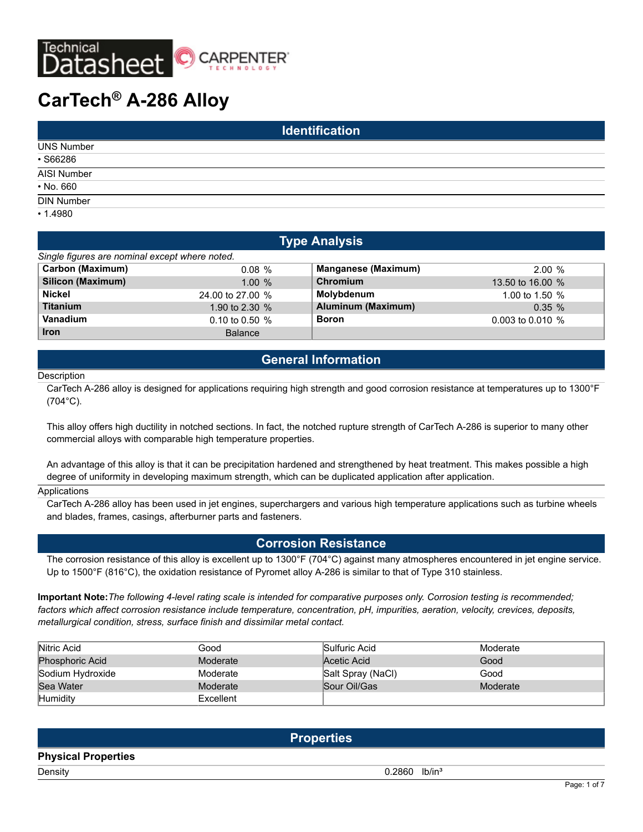

# **CarTech® A-286 Alloy**

| <b>Identification</b> |  |  |  |  |
|-----------------------|--|--|--|--|
| <b>UNS Number</b>     |  |  |  |  |
| $•$ S66286            |  |  |  |  |
| AISI Number           |  |  |  |  |
| $\cdot$ No. 660       |  |  |  |  |
| <b>DIN Number</b>     |  |  |  |  |
| •1.4980               |  |  |  |  |

| <b>Type Analysis</b>                           |                  |                            |                    |  |  |  |  |
|------------------------------------------------|------------------|----------------------------|--------------------|--|--|--|--|
| Single figures are nominal except where noted. |                  |                            |                    |  |  |  |  |
| <b>Carbon (Maximum)</b>                        | $0.08 \%$        | <b>Manganese (Maximum)</b> | $2.00\%$           |  |  |  |  |
| <b>Silicon (Maximum)</b>                       | 1.00%            | Chromium                   | 13.50 to 16.00 %   |  |  |  |  |
| <b>Nickel</b>                                  | 24,00 to 27,00 % | Molybdenum                 | 1.00 to 1.50 $%$   |  |  |  |  |
| <b>Titanium</b>                                | 1.90 to 2.30 %   | Aluminum (Maximum)         | $0.35 \%$          |  |  |  |  |
| Vanadium                                       | 0.10 to 0.50 %   | <b>Boron</b>               | 0.003 to 0.010 $%$ |  |  |  |  |
| <b>Iron</b>                                    | <b>Balance</b>   |                            |                    |  |  |  |  |

### **General Information**

#### **Description**

CarTech A-286 alloy is designed for applications requiring high strength and good corrosion resistance at temperatures up to 1300°F (704°C).

This alloy offers high ductility in notched sections. In fact, the notched rupture strength of CarTech A-286 is superior to many other commercial alloys with comparable high temperature properties.

An advantage of this alloy is that it can be precipitation hardened and strengthened by heat treatment. This makes possible a high degree of uniformity in developing maximum strength, which can be duplicated application after application.

#### Applications

CarTech A-286 alloy has been used in jet engines, superchargers and various high temperature applications such as turbine wheels and blades, frames, casings, afterburner parts and fasteners.

### **Corrosion Resistance**

The corrosion resistance of this alloy is excellent up to 1300°F (704°C) against many atmospheres encountered in jet engine service. Up to 1500°F (816°C), the oxidation resistance of Pyromet alloy A-286 is similar to that of Type 310 stainless.

**Important Note:***The following 4-level rating scale is intended for comparative purposes only. Corrosion testing is recommended; factors which affect corrosion resistance include temperature, concentration, pH, impurities, aeration, velocity, crevices, deposits, metallurgical condition, stress, surface finish and dissimilar metal contact.*

| Nitric Acid            | Good      | Sulfuric Acid     | Moderate |
|------------------------|-----------|-------------------|----------|
| <b>Phosphoric Acid</b> | Moderate  | Acetic Acid       | Good     |
| Sodium Hydroxide       | Moderate  | Salt Spray (NaCl) | Good     |
| Sea Water              | Moderate  | Sour Oil/Gas      | Moderate |
| Humidity               | Excellent |                   |          |

|                            | <b>Properties</b>           |
|----------------------------|-----------------------------|
| <b>Physical Properties</b> |                             |
| Density                    | $0.2860$ lb/in <sup>3</sup> |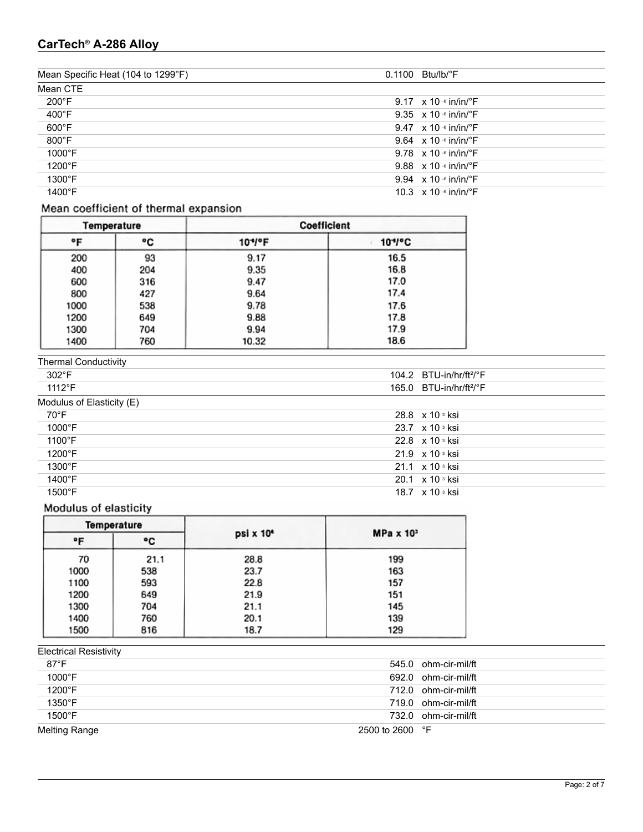### **CarTech® A-286 Alloy**

| Mean Specific Heat (104 to 1299°F) | $0.1100$ Btu/lb/ $\degree$ F              |
|------------------------------------|-------------------------------------------|
| Mean CTE                           |                                           |
| $200^{\circ}$ F                    | 9.17 $\times$ 10 $\cdot$ in/in/ $\cdot$ F |
| $400^{\circ}$ F                    | 9.35 $\times$ 10 $\cdot$ in/in/ $\cdot$ F |
| $600^{\circ}$ F                    | 9.47 $\times$ 10 $\cdot$ in/in/ $\cdot$ F |
| $800^{\circ}$ F                    | 9.64 $\times$ 10 $\cdot$ in/in/ $\cdot$ F |
| 1000°F                             | 9.78 $\times$ 10 $\cdot$ in/in/ $\cdot$ F |
| $1200^{\circ}$ F                   | 9.88 $\times$ 10 $\cdot$ in/in/ $\cdot$ F |
| $1300^{\circ}$ F                   | 9.94 $\times$ 10 $\cdot$ in/in/ $\cdot$ F |
| 1400°F                             | 10.3 $\times$ 10 $\cdot$ in/in/ $\cdot$ F |

### Mean coefficient of thermal expansion

| Temperature |     | Coefficient |             |  |  |
|-------------|-----|-------------|-------------|--|--|
| °F          | ۰c  | 10*/°F      | $10^{4}$ °C |  |  |
| 200         | 93  | 9.17        | 16.5        |  |  |
| 400         | 204 | 9.35        | 16.8        |  |  |
| 600         | 316 | 9.47        | 17.0        |  |  |
| 800         | 427 | 9.64        | 17.4        |  |  |
| 1000        | 538 | 9.78        | 17.6        |  |  |
| 1200        | 649 | 9.88        | 17.8        |  |  |
| 1300        | 704 | 9.94        | 17.9        |  |  |
| 1400        | 760 | 10.32       | 18.6        |  |  |

#### Thermal Conductivity

| <b>ILIGHTIQI CONQUULIVILY</b> |                                     |  |
|-------------------------------|-------------------------------------|--|
| 302°F                         | 104.2 $BTU-in/hr/ft2/°F$            |  |
| $1112^{\circ}F$               | 165.0 $BTU-in/hr/ft2/°F$            |  |
| Modulus of Elasticity (E)     |                                     |  |
| 70°F                          | 28.8 $\times$ 10 $\frac{3}{10}$ ksi |  |
| $1000^{\circ}$ F              | 23.7 x 10 s ksi                     |  |
| $1100^{\circ}$ F              | 22.8 $\times$ 10 $\degree$ ksi      |  |
| $1200^{\circ}$ F              | $21.9 \times 10$ s ksi              |  |
| $1300^{\circ}$ F              | $21.1 \times 10$ s ksi              |  |
| 1400°F                        | 20.1 $\times$ 10 $\frac{3}{10}$ ksi |  |
| $1500^{\circ}$ F              | 18.7 $\times$ 10 $\degree$ ksi      |  |

### Modulus of elasticity

| <b>Temperature</b><br>۰F |      |      |                       |                  |  |  |
|--------------------------|------|------|-----------------------|------------------|--|--|
|                          |      | ۰c   | psi x 10 <sup>4</sup> | $MPa \times 103$ |  |  |
|                          | 70   | 21.1 | 28.8                  | 199              |  |  |
|                          | 1000 | 538  | 23.7                  | 163              |  |  |
|                          | 1100 | 593  | 22.8                  | 157              |  |  |
|                          | 1200 | 649  | 21.9                  | 151              |  |  |
|                          | 1300 | 704  | 21.1                  | 145              |  |  |
|                          | 1400 | 760  | 20.1                  | 139              |  |  |
|                          | 1500 | 816  | 18.7                  | 129              |  |  |

## Electrical Resistivity

| $87^{\circ}$ F   | 545.0 ohm-cir-mil/ft     |
|------------------|--------------------------|
| $1000^{\circ}$ F | 692.0 ohm-cir-mil/ft     |
| $1200^{\circ}$ F | 712.0 ohm-cir-mil/ft     |
| $1350^{\circ}$ F | 719.0 ohm-cir-mil/ft     |
| $1500^{\circ}$ F | 732.0 ohm-cir-mil/ft     |
| Melting Range    | 2500 to 2600 $\degree$ F |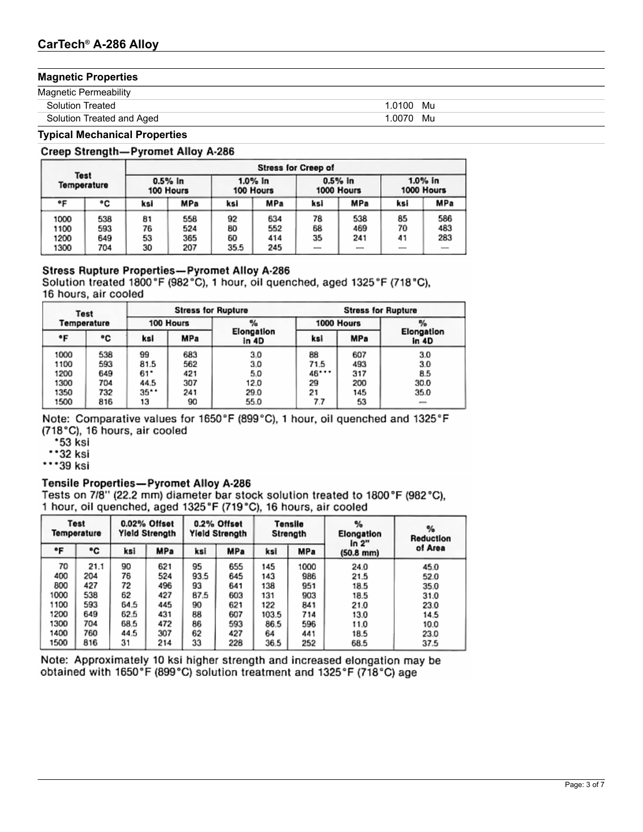### **Magnetic Properties**

| <b>Magnetic Permeability</b> |             |
|------------------------------|-------------|
| <b>Solution Treated</b>      | 1.0100 Mu   |
| Solution Treated and Aged    | .0070<br>Mu |

### **Typical Mechanical Properties**

### Creep Strength-Pyromet Alloy A-286

|                              |                          | <b>Stress for Creep of</b> |                          |                        |                          |                         |                   |                       |                   |
|------------------------------|--------------------------|----------------------------|--------------------------|------------------------|--------------------------|-------------------------|-------------------|-----------------------|-------------------|
| <b>Test</b><br>Temperature   |                          | $0.5%$ in<br>100 Hours     |                          | 1.0% in<br>100 Hours   |                          | $0.5%$ in<br>1000 Hours |                   | 1.0% in<br>1000 Hours |                   |
| ۰F                           | ۰c                       | ksi                        | MPa                      | ksi                    | MPa                      | ksi                     | MPa               | ksi                   | MPa               |
| 1000<br>1100<br>1200<br>1300 | 538<br>593<br>649<br>704 | 81<br>76<br>53<br>30       | 558<br>524<br>365<br>207 | 92<br>80<br>60<br>35.5 | 634<br>552<br>414<br>245 | 78<br>68<br>35          | 538<br>469<br>241 | 85<br>70<br>41        | 586<br>483<br>283 |

### Stress Rupture Properties-Pyromet Alloy A-286

Solution treated 1800°F (982°C), 1 hour, oil quenched, aged 1325°F (718°C), 16 hours, air cooled

|      | <b>Stress for Rupture</b><br>Test |      |            | <b>Stress for Rupture</b> |            |            |                          |
|------|-----------------------------------|------|------------|---------------------------|------------|------------|--------------------------|
|      | Temperature                       |      | 100 Hours  | $\frac{a}{2}$             | 1000 Hours |            |                          |
| ۰F   | ۰c                                | ksi  | <b>MPa</b> | Elongation<br>in 4D       | ksi        | <b>MPa</b> | Elongation<br>in 4D      |
| 1000 | 538                               | 99   | 683        | 3.0                       | 88         | 607        | 3.0                      |
| 1100 | 593                               | 81.5 | 562        | 3.0                       | 71.5       | 493        | 3.0                      |
| 1200 | 649                               | 61*  | 421        | 5.0                       | 46***      | 317        | 8.5                      |
| 1300 | 704                               | 44.5 | 307        | 12.0                      | 29         | 200        | 30.0                     |
| 1350 | 732                               | 35** | 241        | 29.0                      | 21         | 145        | 35.0                     |
| 1500 | 816                               | 13   | 90         | 55.0                      | 7.7        | 53         | $\overline{\phantom{a}}$ |

Note: Comparative values for 1650°F (899°C), 1 hour, oil quenched and 1325°F (718°C), 16 hours, air cooled

- \*53 ksi
- $\cdot$  32 ksi

 $\cdots$ 39 ksi

#### Tensile Properties-Pyromet Alloy A-286

Tests on 7/8" (22.2 mm) diameter bar stock solution treated to 1800°F (982°C), 1 hour, oil quenched, aged 1325°F (719°C), 16 hours, air cooled

|      | Test<br>Temperature |      | 0.02% Offset<br><b>Yield Strength</b> |      | 0.2% Offset<br><b>Yield Strength</b> |       | Tensile<br>Strength | %<br>Elongation<br>in 2" | %<br>Reduction |  |
|------|---------------------|------|---------------------------------------|------|--------------------------------------|-------|---------------------|--------------------------|----------------|--|
| ۰F   | ۰c                  | ksi  | <b>MPa</b>                            | ksi  | <b>MPa</b>                           | ksi   | <b>MPa</b>          | $(50.8 \, \text{mm})$    | of Area        |  |
| 70   | 21.1                | 90   | 621                                   | 95   | 655                                  | 145   | 1000                | 24.0                     | 45.0           |  |
| 400  | 204                 | 76   | 524                                   | 93.5 | 645                                  | 143   | 986                 | 21.5                     | 52.0           |  |
| 800  | 427                 | 72   | 496                                   | 93   | 641                                  | 138   | 951                 | 18.5                     | 35.0           |  |
| 1000 | 538                 | 62   | 427                                   | 87.5 | 603                                  | 131   | 903                 | 18.5                     | 31.0           |  |
| 1100 | 593                 | 64.5 | 445                                   | 90   | 621                                  | 122   | 841                 | 21.0                     | 23.0           |  |
| 1200 | 649                 | 62.5 | 431                                   | 88   | 607                                  | 103.5 | 714                 | 13.0                     | 14.5           |  |
| 1300 | 704                 | 68.5 | 472                                   | 86   | 593                                  | 86.5  | 596                 | 11.0                     | 10.0           |  |
| 1400 | 760                 | 44.5 | 307                                   | 62   | 427                                  | 64    | 441                 | 18.5                     | 23.0           |  |
| 1500 | 816                 | 31   | 214                                   | 33   | 228                                  | 36.5  | 252                 | 68.5                     | 37.5           |  |

Note: Approximately 10 ksi higher strength and increased elongation may be obtained with 1650°F (899°C) solution treatment and 1325°F (718°C) age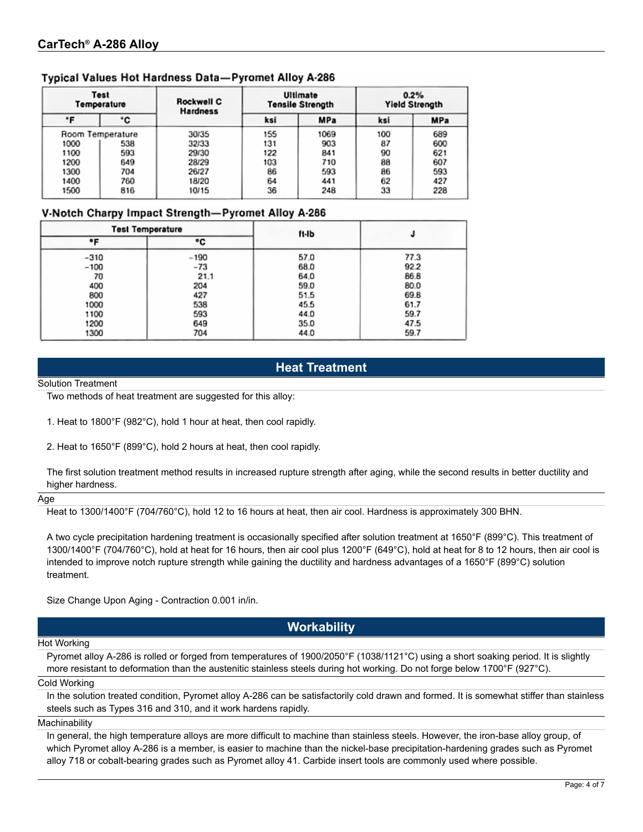### Typical Values Hot Hardness Data-Pyromet Alloy A-286

| Test<br>Temperature<br>۰c<br>۰F |                  | Rockwell C<br><b>Hardness</b> |     | Ultimate<br><b>Tensile Strength</b> | 0.2%<br><b>Yield Strength</b> |            |  |
|---------------------------------|------------------|-------------------------------|-----|-------------------------------------|-------------------------------|------------|--|
|                                 |                  |                               | ksi | <b>MPa</b>                          | ksi                           | <b>MPa</b> |  |
|                                 | Room Temperature | 30/35                         | 155 | 1069                                | 100                           | 689        |  |
| 1000                            | 538              | 32/33                         | 131 | 903                                 | 87                            | 600        |  |
| 1100                            | 593              | 29/30                         | 122 | 841                                 | 90                            | 621        |  |
| 1200                            | 649              | 28/29                         | 103 | 710                                 | 88                            | 607        |  |
| 1300                            | 704              | 26/27                         | 86  | 593                                 | 86                            | 593        |  |
| 1400                            | 760              | 18/20                         | 64  | 441                                 | 62                            | 427        |  |
| 1500                            | 816              | 10/15                         | 36  | 248                                 | 33                            | 228        |  |

### V-Notch Charpy Impact Strength-Pyromet Alloy A-286

|        | <b>Test Temperature</b> | ft-Ib |      |
|--------|-------------------------|-------|------|
| ۰F     | ۰c                      |       |      |
| $-310$ | $-190$                  | 57.0  | 77.3 |
| $-100$ | $-73$                   | 68.0  | 92.2 |
| 70     | 21.1                    | 64.0  | 86.8 |
| 400    | 204                     | 59.0  | 80.0 |
| 800    | 427                     | 51.5  | 69.8 |
| 1000   | 538                     | 45.5  | 61.7 |
| 1100   | 593                     | 44.0  | 59.7 |
| 1200   | 649                     | 35.0  | 47.5 |
| 1300   | 704                     | 44.0  | 59.7 |

### **Heat Treatment**

Solution Treatment

Two methods of heat treatment are suggested for this alloy:

1. Heat to 1800°F (982°C), hold 1 hour at heat, then cool rapidly.

2. Heat to 1650°F (899°C), hold 2 hours at heat, then cool rapidly.

The first solution treatment method results in increased rupture strength after aging, while the second results in better ductility and higher hardness.

#### Age

Heat to 1300/1400°F (704/760°C), hold 12 to 16 hours at heat, then air cool. Hardness is approximately 300 BHN.

A two cycle precipitation hardening treatment is occasionally specified after solution treatment at 1650°F (899°C). This treatment of 1300/1400°F (704/760°C), hold at heat for 16 hours, then air cool plus 1200°F (649°C), hold at heat for 8 to 12 hours, then air cool is intended to improve notch rupture strength while gaining the ductility and hardness advantages of a 1650°F (899°C) solution treatment.

Size Change Upon Aging - Contraction 0.001 in/in.

### **Workability**

#### Hot Working

Pyromet alloy A-286 is rolled or forged from temperatures of 1900/2050°F (1038/1121°C) using a short soaking period. It is slightly more resistant to deformation than the austenitic stainless steels during hot working. Do not forge below 1700°F (927°C).

Cold Working

In the solution treated condition, Pyromet alloy A-286 can be satisfactorily cold drawn and formed. It is somewhat stiffer than stainless steels such as Types 316 and 310, and it work hardens rapidly.

Machinability

In general, the high temperature alloys are more difficult to machine than stainless steels. However, the iron-base alloy group, of which Pyromet alloy A-286 is a member, is easier to machine than the nickel-base precipitation-hardening grades such as Pyromet alloy 718 or cobalt-bearing grades such as Pyromet alloy 41. Carbide insert tools are commonly used where possible.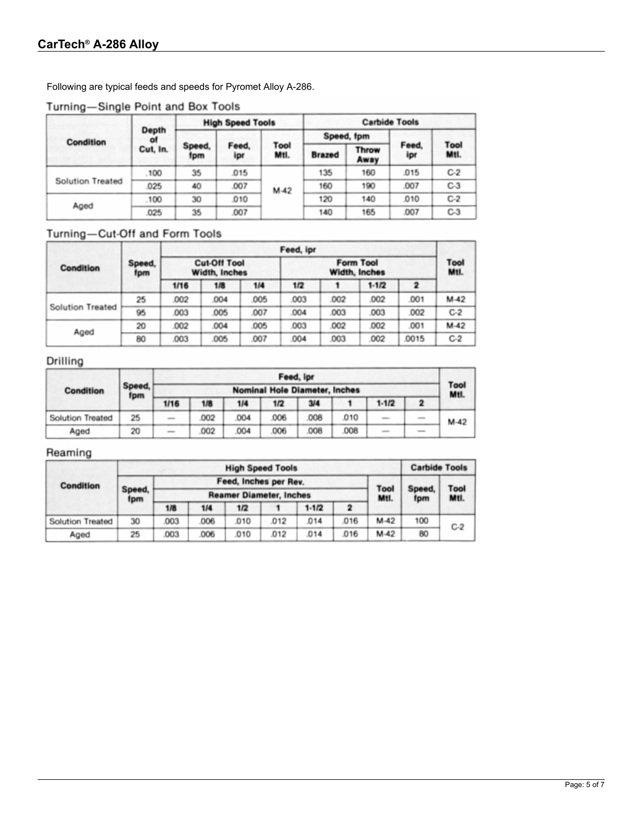Following are typical feeds and speeds for Pyromet Alloy A-286.

### Turning-Single Point and Box Tools

|                         | Depth<br>of |               | <b>High Speed Tools</b> |              | <b>Carbide Tools</b> |               |              |                     |  |
|-------------------------|-------------|---------------|-------------------------|--------------|----------------------|---------------|--------------|---------------------|--|
| <b>Condition</b>        |             |               |                         |              | Speed, fpm           |               |              |                     |  |
|                         | Cut, In.    | Speed,<br>fpm | Feed,<br>ipr            | Tool<br>Mtl. | <b>Brazed</b>        | Throw<br>Away | Feed,<br>ipr | <b>Tool</b><br>Mtl. |  |
|                         | .100        | 35            | 015                     |              | 135                  | 160           | .015         | $C-2$               |  |
| <b>Solution Treated</b> | .025        | 40            | .007                    | $M-42$       | 160                  | 190           | .007         | $C-3$               |  |
| Aged                    | .100        | 30            | 010                     |              | 120                  | 140           | .010         | $C-2$               |  |
|                         | .025        | 35            | .007                    |              | 140                  | 165           | .007         | $C-3$               |  |

### Turning-Cut-Off and Form Tools

|                  |               |                                             |      | Feed, ipr |      |              |         |      |        |
|------------------|---------------|---------------------------------------------|------|-----------|------|--------------|---------|------|--------|
| <b>Condition</b> | Speed,<br>fpm | <b>Cut-Off Tool</b><br><b>Width, Inches</b> |      |           |      | Tool<br>Mtl. |         |      |        |
|                  |               | 1/16                                        | 1/8  | 1/4       | 1/2  |              | $1-1/2$ |      |        |
|                  | 25            | .002                                        | .004 | .005      | .003 | .002         | .002    | .001 | $M-42$ |
| Solution Treated | 95            | 003                                         | .005 | .007      | .004 | .003         | .003    | .002 | $C-2$  |
| Aged             | 20            | 002                                         | .004 | .005      | .003 | .002         | .002    | .001 | $M-42$ |
|                  | 80            | 003                                         | .005 | .007      | .004 | .003         | .002    | 0015 | $C-2$  |

### Drilling

|                         | Speed,<br>fpm | Feed, ipr                                                                                      |                                      |     |      |     |      |           |                                                                                                                                                                                                                                                                                                                                                                                                                                               |        |
|-------------------------|---------------|------------------------------------------------------------------------------------------------|--------------------------------------|-----|------|-----|------|-----------|-----------------------------------------------------------------------------------------------------------------------------------------------------------------------------------------------------------------------------------------------------------------------------------------------------------------------------------------------------------------------------------------------------------------------------------------------|--------|
| Condition               |               |                                                                                                | <b>Nominal Hole Diameter, Inches</b> |     |      |     |      |           |                                                                                                                                                                                                                                                                                                                                                                                                                                               |        |
|                         |               | 1/16                                                                                           | 1/8                                  | 1/4 | 1/2  | 3/4 |      | $1 - 1/2$ |                                                                                                                                                                                                                                                                                                                                                                                                                                               | Mtl.   |
| <b>Solution Treated</b> | 25            | $\frac{1}{2}$                                                                                  | 002                                  | 004 | .006 | 008 | .010 |           |                                                                                                                                                                                                                                                                                                                                                                                                                                               | $M-42$ |
| Aged                    | 20            | $\frac{1}{2} \left( \frac{1}{2} \right) \left( \frac{1}{2} \right) \left( \frac{1}{2} \right)$ | 002                                  | 004 | .006 | 008 | .008 |           | $\frac{1}{2} \left( \frac{1}{2} \right)^{2} \left( \frac{1}{2} \right)^{2} \left( \frac{1}{2} \right)^{2} \left( \frac{1}{2} \right)^{2} \left( \frac{1}{2} \right)^{2} \left( \frac{1}{2} \right)^{2} \left( \frac{1}{2} \right)^{2} \left( \frac{1}{2} \right)^{2} \left( \frac{1}{2} \right)^{2} \left( \frac{1}{2} \right)^{2} \left( \frac{1}{2} \right)^{2} \left( \frac{1}{2} \right)^{2} \left( \frac{1}{2} \right)^{2} \left( \frac$ |        |

### Reaming

|                         |               | <b>Carbide Tools</b> |                       |                                |              |           |              |        |     |       |
|-------------------------|---------------|----------------------|-----------------------|--------------------------------|--------------|-----------|--------------|--------|-----|-------|
| <b>Condition</b>        |               |                      | Feed, Inches per Rev. |                                | Speed.       |           |              |        |     |       |
|                         | Speed.<br>fpm |                      |                       | <b>Reamer Diameter, Inches</b> | Tool<br>Mtl. | fpm       | Tool<br>Mtl. |        |     |       |
|                         |               | 1/8                  | 1/4                   | 1/2                            |              | $1 - 1/2$ |              |        |     |       |
| <b>Solution Treated</b> | 30            | 003                  | .006                  | 010                            | .012         | .014      | 016          | $M-42$ | 100 | $C-2$ |
| Aged                    | 25            | 003                  | .006                  | .010                           | .012         | .014      | 016          | $M-42$ | 80  |       |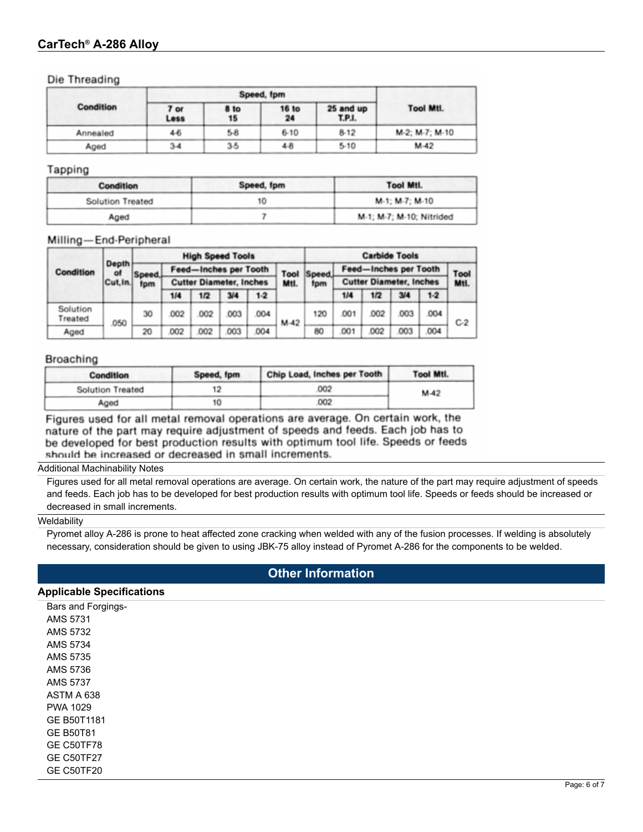### **CarTech® A-286 Alloy**

Die Threading

|                  |              | Speed, fpm        |                    |                     |                  |  |  |  |  |
|------------------|--------------|-------------------|--------------------|---------------------|------------------|--|--|--|--|
| <b>Condition</b> | 7 or<br>Less | <b>8 to</b><br>15 | <b>16 to</b><br>24 | 25 and up<br>T.P.I. | <b>Tool Mtl.</b> |  |  |  |  |
| Annealed         | $4-6$        | $5-8$             | $6 - 10$           | $8-12$              | M-2; M-7; M-10   |  |  |  |  |
| Aged             | $3-4$        | $3-5$             | $4-8$              | $5-10$              | $M-42$           |  |  |  |  |

#### Tapping

| <b>Condition</b>        | Speed, fpm | <b>Tool Mtl.</b>         |
|-------------------------|------------|--------------------------|
| <b>Solution Treated</b> | 10         | M-1: M-7: M-10           |
| Aged                    |            | M-1; M-7; M-10; Nitrided |

#### Milling-End-Peripheral

|                     |             |        | <b>High Speed Tools</b>      |                                |      |       |        |       |                              | <b>Carbide Tools</b>           |      |       |       |  |
|---------------------|-------------|--------|------------------------------|--------------------------------|------|-------|--------|-------|------------------------------|--------------------------------|------|-------|-------|--|
| Condition           | Depth<br>ot | Speed. | <b>Feed-Inches per Tooth</b> |                                |      |       | Tool   | Speed | <b>Feed-Inches per Tooth</b> |                                |      |       | Tool  |  |
|                     | Cut.In.     | fpm    |                              | <b>Cutter Diameter, Inches</b> |      |       | Mtl.   | fpm   |                              | <b>Cutter Diameter, Inches</b> |      | Mtl.  |       |  |
|                     |             |        | 1/4                          | 1/2                            | 3/4  | $1-2$ |        |       | 1/4                          | 1/2                            | 3/4  | $1-2$ |       |  |
| Solution<br>Treated | 050         | 30     | 002                          | 002                            | 003  | 004   | $M-42$ | 120   | .001                         | .002                           | .003 | 004   | $C-2$ |  |
| Aged                |             | 20     | 002                          | 002                            | .003 | 004   |        | 80    | 001                          | 002                            | 003  | .004  |       |  |

#### **Broaching**

| <b>Condition</b>        | Speed, fpm | Chip Load, Inches per Tooth | <b>Tool Mtl.</b> |
|-------------------------|------------|-----------------------------|------------------|
| <b>Solution Treated</b> |            | 002                         | $M-42$           |
| Aged                    | 10         | 002                         |                  |

Figures used for all metal removal operations are average. On certain work, the nature of the part may require adjustment of speeds and feeds. Each job has to be developed for best production results with optimum tool life. Speeds or feeds should be increased or decreased in small increments.

#### Additional Machinability Notes

Figures used for all metal removal operations are average. On certain work, the nature of the part may require adjustment of speeds and feeds. Each job has to be developed for best production results with optimum tool life. Speeds or feeds should be increased or decreased in small increments.

#### **Weldability**

Pyromet alloy A-286 is prone to heat affected zone cracking when welded with any of the fusion processes. If welding is absolutely necessary, consideration should be given to using JBK-75 alloy instead of Pyromet A-286 for the components to be welded.

### **Other Information**

#### **Applicable Specifications**

Bars and Forgings- AMS 5731 AMS 5732 AMS 5734 AMS 5735 AMS 5736 AMS 5737 ASTM A 638 PWA 1029 GE B50T1181 GE B50T81 GE C50TF78 GE C50TF27 GE C50TF20